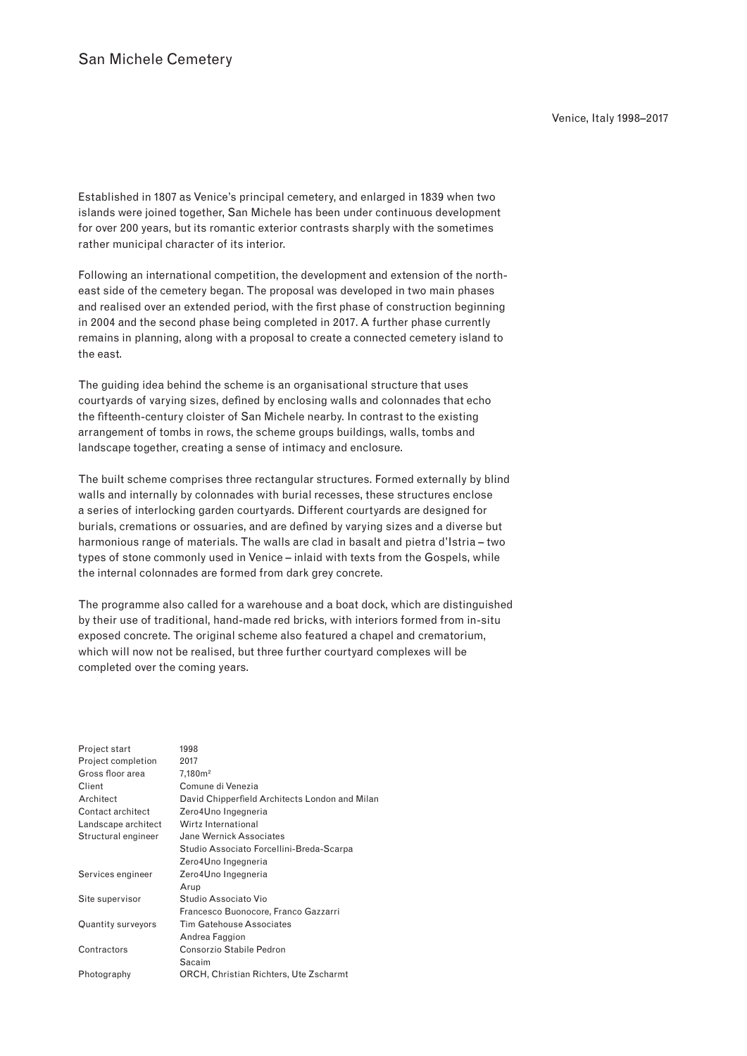Established in 1807 as Venice's principal cemetery, and enlarged in 1839 when two islands were joined together, San Michele has been under continuous development for over 200 years, but its romantic exterior contrasts sharply with the sometimes rather municipal character of its interior.

Following an international competition, the development and extension of the northeast side of the cemetery began. The proposal was developed in two main phases and realised over an extended period, with the first phase of construction beginning in 2004 and the second phase being completed in 2017. A further phase currently remains in planning, along with a proposal to create a connected cemetery island to the east.

The guiding idea behind the scheme is an organisational structure that uses courtyards of varying sizes, defined by enclosing walls and colonnades that echo the fifteenth-century cloister of San Michele nearby. In contrast to the existing arrangement of tombs in rows, the scheme groups buildings, walls, tombs and landscape together, creating a sense of intimacy and enclosure.

The built scheme comprises three rectangular structures. Formed externally by blind walls and internally by colonnades with burial recesses, these structures enclose a series of interlocking garden courtyards. Different courtyards are designed for burials, cremations or ossuaries, and are defined by varying sizes and a diverse but harmonious range of materials. The walls are clad in basalt and pietra d'Istria – two types of stone commonly used in Venice – inlaid with texts from the Gospels, while the internal colonnades are formed from dark grey concrete.

The programme also called for a warehouse and a boat dock, which are distinguished by their use of traditional, hand-made red bricks, with interiors formed from in-situ exposed concrete. The original scheme also featured a chapel and crematorium, which will now not be realised, but three further courtyard complexes will be completed over the coming years.

| Project start       | 1998                                           |
|---------------------|------------------------------------------------|
| Project completion  | 2017                                           |
| Gross floor area    | 7,180m <sup>2</sup>                            |
| Client              | Comune di Venezia                              |
| Architect           | David Chipperfield Architects London and Milan |
| Contact architect   | Zero4Uno Ingegneria                            |
| Landscape architect | Wirtz International                            |
| Structural engineer | Jane Wernick Associates                        |
|                     | Studio Associato Forcellini-Breda-Scarpa       |
|                     | Zero4Uno Ingegneria                            |
| Services engineer   | Zero4Uno Ingegneria                            |
|                     | Arup                                           |
| Site supervisor     | Studio Associato Vio                           |
|                     | Francesco Buonocore, Franco Gazzarri           |
| Quantity surveyors  | <b>Tim Gatehouse Associates</b>                |
|                     | Andrea Faggion                                 |
| Contractors         | Consorzio Stabile Pedron                       |
|                     | Sacaim                                         |
| Photography         | ORCH, Christian Richters, Ute Zscharmt         |